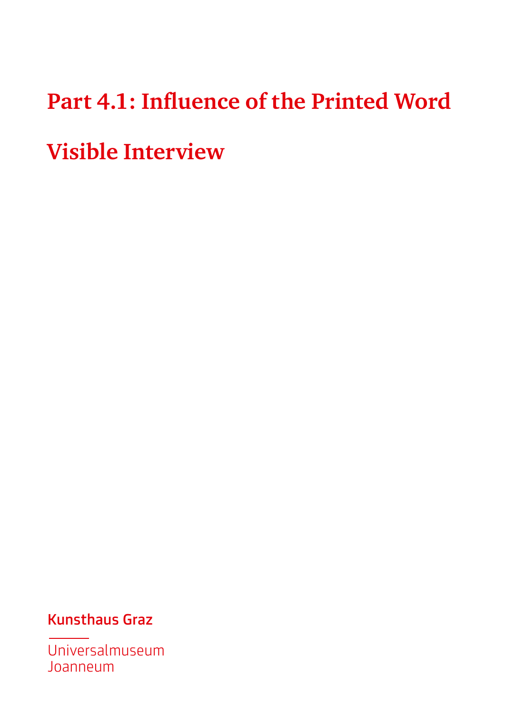# **Part 4.1: Influence of the Printed Word Visible Interview**

Kunsthaus Graz

Universalmuseum Joanneum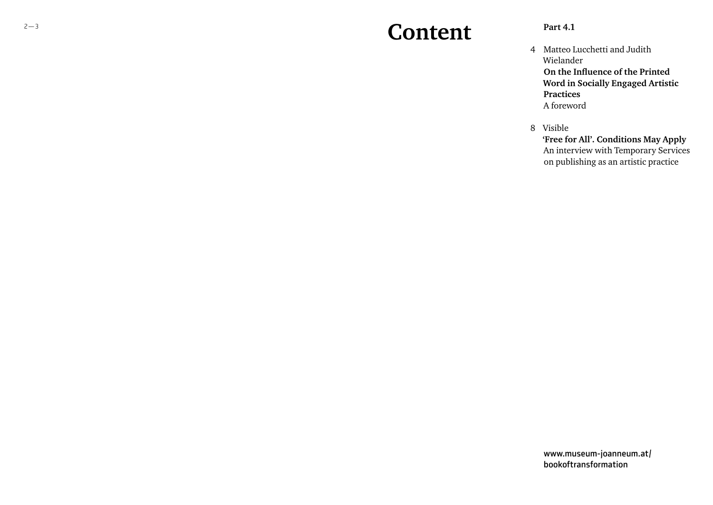### **Content**

#### **Part 4.1**

- 4 Matteo Lucchetti and Judith Wielander **On the Influence of the Printed Word in Socially Engaged Artistic Practices** A foreword
- 8 Visible

**'Free for All'. Conditions May Apply** An interview with Temporary Services on publishing as an artistic practice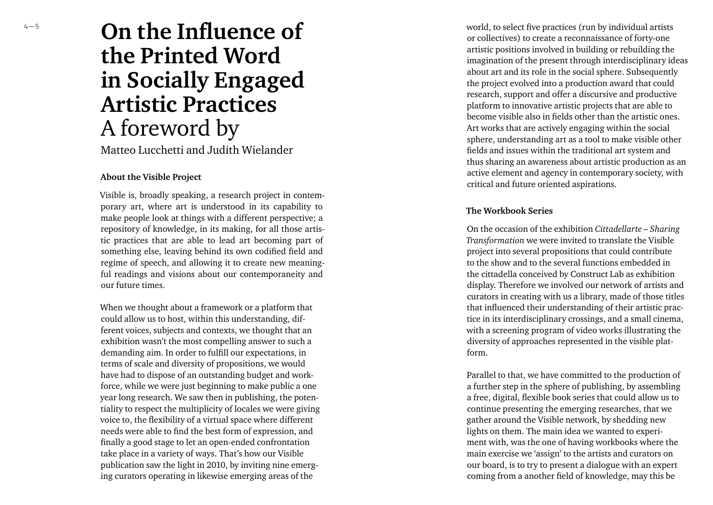### **On the Influence of the Printed Word in Socially Engaged Artistic Practices** A foreword by

Matteo Lucchetti and Judith Wielander

#### **About the Visible Project**

Visible is, broadly speaking, a research project in contem porary art, where art is understood in its capability to make people look at things with a different perspective; a repository of knowledge, in its making, for all those artis tic practices that are able to lead art becoming part of something else, leaving behind its own codified field and regime of speech, and allowing it to create new meaning ful readings and visions about our contemporaneity and our future times.

When we thought about a framework or a platform that could allow us to host, within this understanding, different voices, subjects and contexts, we thought that an exhibition wasn't the most compelling answer to such a demanding aim. In order to fulfill our expectations, in terms of scale and diversity of propositions, we would have had to dispose of an outstanding budget and workforce, while we were just beginning to make public a one year long research. We saw then in publishing, the poten tiality to respect the multiplicity of locales we were giving voice to, the flexibility of a virtual space where different needs were able to find the best form of expression, and finally a good stage to let an open-ended confrontation take place in a variety of ways. That's how our Visible publication saw the light in 2010, by inviting nine emerg ing curators operating in likewise emerging areas of the

world, to select five practices (run by individual artists or collectives) to create a reconnaissance of forty-one artistic positions involved in building or rebuilding the imagination of the present through interdisciplinary ideas about art and its role in the social sphere. Subsequently the project evolved into a production award that could research, support and offer a discursive and productive platform to innovative artistic projects that are able to become visible also in fields other than the artistic ones. Art works that are actively engaging within the social sphere, understanding art as a tool to make visible other fields and issues within the traditional art system and thus sharing an awareness about artistic production as an active element and agency in contemporary society, with critical and future oriented aspirations.

#### **The Workbook Series**

On the occasion of the exhibition *Cittadellarte – Sharing Transformation* we were invited to translate the Visible project into several propositions that could contribute to the show and to the several functions embedded in the cittadella conceived by Construct Lab as exhibition display. Therefore we involved our network of artists and curators in creating with us a library, made of those titles that influenced their understanding of their artistic prac tice in its interdisciplinary crossings, and a small cinema, with a screening program of video works illustrating the diversity of approaches represented in the visible plat form.

Parallel to that, we have committed to the production of a further step in the sphere of publishing, by assembling a free, digital, flexible book series that could allow us to continue presenting the emerging researches, that we gather around the Visible network, by shedding new lights on them. The main idea we wanted to experi ment with, was the one of having workbooks where the main exercise we 'assign' to the artists and curators on our board, is to try to present a dialogue with an expert coming from a another field of knowledge, may this be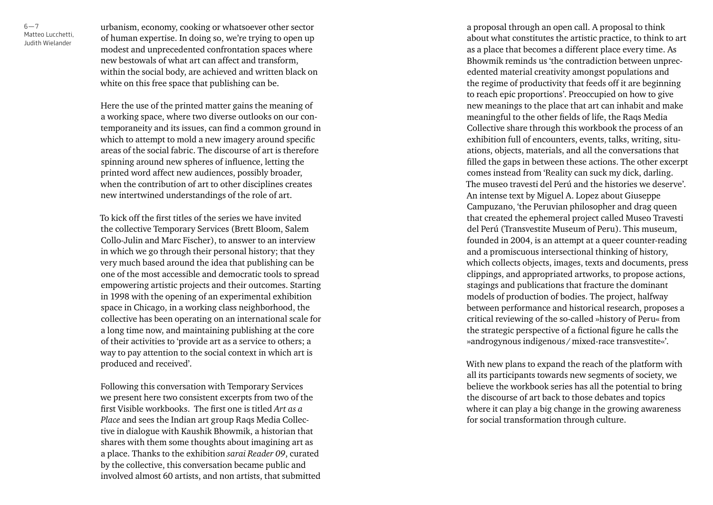Matteo Lucchetti, 6—7<br>Matteo Lucchetti<br>Judith Wielander

urbanism, economy, cooking or whatsoever other sector of human expertise. In doing so, we're trying to open up modest and unprecedented confrontation spaces where new bestowals of what art can affect and transform, within the social body, are achieved and written black on white on this free space that publishing can be.

Here the use of the printed matter gains the meaning of a working space, where two diverse outlooks on our con temporaneity and its issues, can find a common ground in which to attempt to mold a new imagery around specific areas of the social fabric. The discourse of art is therefore spinning around new spheres of influence, letting the printed word affect new audiences, possibly broader, when the contribution of art to other disciplines creates new intertwined understandings of the role of art.

To kick off the first titles of the series we have invited the collective Temporary Services (Brett Bloom, Salem Collo-Julin and Marc Fischer), to answer to an interview in which we go through their personal history; that they very much based around the idea that publishing can be one of the most accessible and democratic tools to spread empowering artistic projects and their outcomes. Starting in 1998 with the opening of an experimental exhibition space in Chicago, in a working class neighborhood, the collective has been operating on an international scale for a long time now, and maintaining publishing at the core of their activities to 'provide art as a service to others; a way to pay attention to the social context in which art is produced and received'.

Following this conversation with Temporary Services we present here two consistent excerpts from two of the first Visible workbooks. The first one is titled *Art as a Place* and sees the Indian art group Raqs Media Collec tive in dialogue with Kaushik Bhowmik, a historian that shares with them some thoughts about imagining art as a place. Thanks to the exhibition *sarai Reader 09*, curated by the collective, this conversation became public and involved almost 60 artists, and non artists, that submitted a proposal through an open call. A proposal to think about what constitutes the artistic practice, to think to art as a place that becomes a different place every time. As Bhowmik reminds us 'the contradiction between unprec edented material creativity amongst populations and the regime of productivity that feeds off it are beginning to reach epic proportions'. Preoccupied on how to give new meanings to the place that art can inhabit and make meaningful to the other fields of life, the Raqs Media Collective share through this workbook the process of an exhibition full of encounters, events, talks, writing, situ ations, objects, materials, and all the conversations that filled the gaps in between these actions. The other excerpt comes instead from 'Reality can suck my dick, darling. The museo travesti del Perú and the histories we deserve'. An intense text by Miguel A. Lopez about Giuseppe Campuzano, 'the Peruvian philosopher and drag queen that created the ephemeral project called Museo Travesti del Perú (Transvestite Museum of Peru). This museum, founded in 2004, is an attempt at a queer counter-reading and a promiscuous intersectional thinking of history, which collects objects, images, texts and documents, press clippings, and appropriated artworks, to propose actions, stagings and publications that fracture the dominant models of production of bodies. The project, halfway between performance and historical research, proposes a critical reviewing of the so-called »history of Peru« from the strategic perspective of a fictional figure he calls the »androgynous indigenous /mixed-race transvestite«'.

With new plans to expand the reach of the platform with all its participants towards new segments of society, we believe the workbook series has all the potential to bring the discourse of art back to those debates and topics where it can play a big change in the growing awareness for social transformation through culture.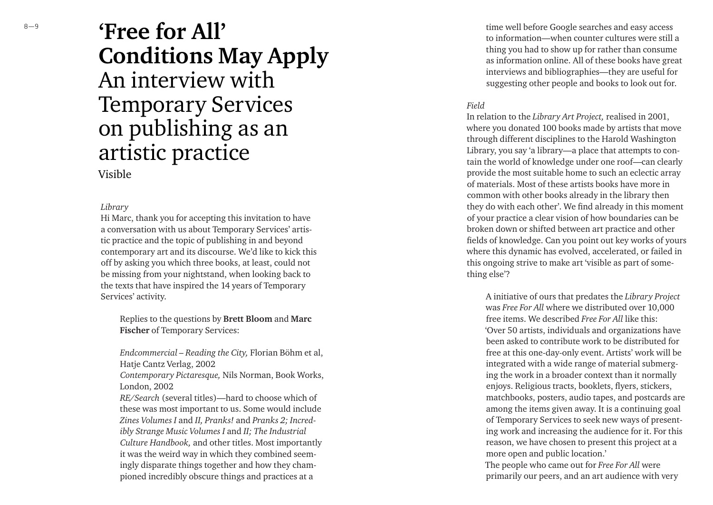## **'Free for All' Conditions May Apply** An interview with Temporary Services on publishing as an artistic practice

### Visible

#### *Library*

Hi Marc, thank you for accepting this invitation to have a conversation with us about Temporary Services' artis tic practice and the topic of publishing in and beyond contemporary art and its discourse. We'd like to kick this off by asking you which three books, at least, could not be missing from your nightstand, when looking back to the texts that have inspired the 14 years of Temporary Services' activity.

Replies to the questions by **Brett Bloom** and **Marc Fische r** of Temporary Services:

*Endcommercial – Reading the City,* Florian Böhm et al, Hatje Cantz Verlag, 2002

*Contemporary Pictaresque,* Nils Norman, Book Works, London, 2002

*RE/Search* (several titles) —hard to choose which of these was most important to us. Some would include *Zines Volumes I* and *II, Pranks!* and *Pranks 2; Incred ibly Strange Music Volumes I* and *II; The Industrial Culture Handbook,* and other titles. Most importantly it was the weird way in which they combined seem ingly disparate things together and how they cham pioned incredibly obscure things and practices at a

time well before Google searches and easy access to information—when counter cultures were still a thing you had to show up for rather than consume as information online. All of these books have great interviews and bibliographies —they are useful for suggesting other people and books to look out for.

#### *Field*

In relation to the *Library Art Project,* realised in 2001, where you donated 100 books made by artists that move through different disciplines to the Harold Washington Library, you say 'a library—a place that attempts to con tain the world of knowledge under one roof—can clearly provide the most suitable home to such an eclectic array of materials. Most of these artists books have more in common with other books already in the library then they do with each other'. We find already in this moment of your practice a clear vision of how boundaries can be broken down or shifted between art practice and other fields of knowledge. Can you point out key works of yours where this dynamic has evolved, accelerated, or failed in this ongoing strive to make art 'visible as part of some thing else'?

A initiative of ours that predates the *Library Project*  was *Free For All* where we distributed over 10,000 free items. We described *Free For All* like this: 'Over 50 artists, individuals and organizations have been asked to contribute work to be distributed for free at this one-day-only event. Artists' work will be integrated with a wide range of material submerg ing the work in a broader context than it normally enjoys. Religious tracts, booklets, flyers, stickers, matchbooks, posters, audio tapes, and postcards are among the items given away. It is a continuing goal of Temporary Services to seek new ways of present ing work and increasing the audience for it. For this reason, we have chosen to present this project at a more open and public location.'

The people who came out for *Free For All* were primarily our peers, and an art audience with very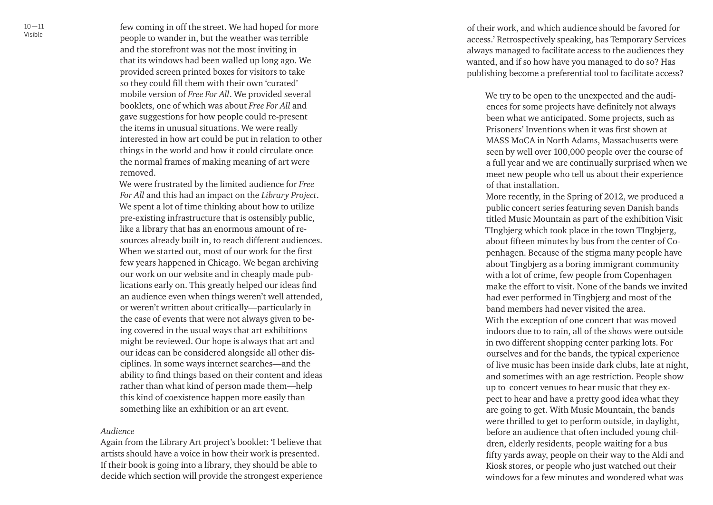few coming in off the street. We had hoped for more people to wander in, but the weather was terrible and the storefront was not the most inviting in that its windows had been walled up long ago. We provided screen printed boxes for visitors to take so they could fill them with their own 'curated' mobile version of *Free For All*. We provided several booklets, one of which was about *Free For All* and gave suggestions for how people could re-present the items in unusual situations. We were really interested in how art could be put in relation to other things in the world and how it could circulate once the normal frames of making meaning of art were removed.

We were frustrated by the limited audience for *Free For All* and this had an impact on the *Library Project*. We spent a lot of time thinking about how to utilize pre-existing infrastructure that is ostensibly public, like a library that has an enormous amount of re sources already built in, to reach different audiences. When we started out, most of our work for the first few years happened in Chicago. We began archiving our work on our website and in cheaply made pub lications early on. This greatly helped our ideas find an audience even when things weren't well attended, or weren't written about critically—particularly in the case of events that were not always given to be ing covered in the usual ways that art exhibitions might be reviewed. Our hope is always that art and our ideas can be considered alongside all other dis ciplines. In some ways internet searches —and the ability to find things based on their content and ideas rather than what kind of person made them —help this kind of coexistence happen more easily than something like an exhibition or an art event.

#### *Audience*

Again from the Library Art project's booklet: 'I believe that artists should have a voice in how their work is presented. If their book is going into a library, they should be able to decide which section will provide the strongest experience of their work, and which audience should be favored for access.' Retrospectively speaking, has Temporary Services always managed to facilitate access to the audiences they wanted, and if so how have you managed to do so? Has publishing become a preferential tool to facilitate access?

We try to be open to the unexpected and the audi ences for some projects have definitely not always been what we anticipated. Some projects, such as Prisoners' Inventions when it was first shown at MASS MoCA in North Adams, Massachusetts were seen by well over 100,000 people over the course of a full year and we are continually surprised when we meet new people who tell us about their experience of that installation.

More recently, in the Spring of 2012, we produced a public concert series featuring seven Danish bands titled Music Mountain as part of the exhibition Visit TIngbjerg which took place in the town TIngbjerg, about fifteen minutes by bus from the center of Co penhagen. Because of the stigma many people have about Tingbjerg as a boring immigrant community with a lot of crime, few people from Copenhagen make the effort to visit. None of the bands we invited had ever performed in Tingbjerg and most of the band members had never visited the area. With the exception of one concert that was moved indoors due to to rain, all of the shows were outside in two different shopping center parking lots. For ourselves and for the bands, the typical experience of live music has been inside dark clubs, late at night, and sometimes with an age restriction. People show up to concert venues to hear music that they ex pect to hear and have a pretty good idea what they are going to get. With Music Mountain, the bands were thrilled to get to perform outside, in daylight, before an audience that often included young chil dren, elderly residents, people waiting for a bus fifty yards away, people on their way to the Aldi and Kiosk stores, or people who just watched out their windows for a few minutes and wondered what was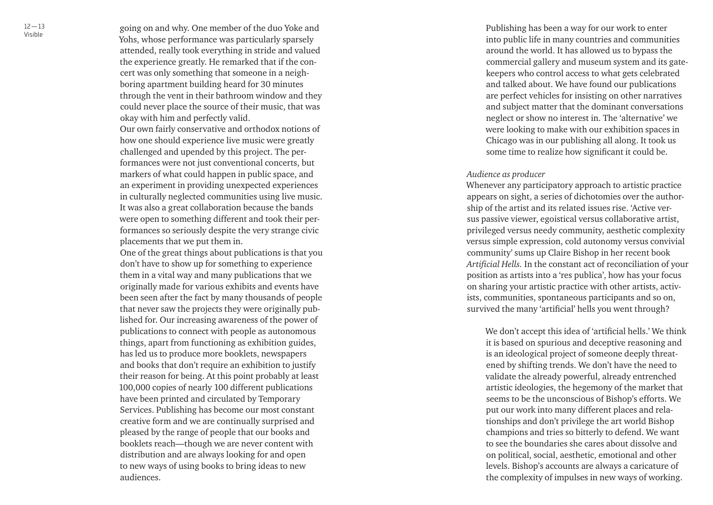going on and why. One member of the duo Yoke and Yohs, whose performance was particularly sparsely attended, really took everything in stride and valued the experience greatly. He remarked that if the con cert was only something that someone in a neigh boring apartment building heard for 30 minutes through the vent in their bathroom window and they could never place the source of their music, that was okay with him and perfectly valid.

Our own fairly conservative and orthodox notions of how one should experience live music were greatly challenged and upended by this project. The per formances were not just conventional concerts, but markers of what could happen in public space, and an experiment in providing unexpected experiences in culturally neglected communities using live music. It was also a great collaboration because the bands were open to something different and took their per formances so seriously despite the very strange civic placements that we put them in.

One of the great things about publications is that you don't have to show up for something to experience them in a vital way and many publications that we originally made for various exhibits and events have been seen after the fact by many thousands of people that never saw the projects they were originally pub lished for. Our increasing awareness of the power of publications to connect with people as autonomous things, apart from functioning as exhibition guides, has led us to produce more booklets, newspapers and books that don't require an exhibition to justify their reason for being. At this point probably at least 100,000 copies of nearly 100 different publications have been printed and circulated by Temporary Services. Publishing has become our most constant creative form and we are continually surprised and pleased by the range of people that our books and booklets reach —though we are never content with distribution and are always looking for and open to new ways of using books to bring ideas to new audiences.

Publishing has been a way for our work to enter into public life in many countries and communities around the world. It has allowed us to bypass the commercial gallery and museum system and its gate keepers who control access to what gets celebrated and talked about. We have found our publications are perfect vehicles for insisting on other narratives and subject matter that the dominant conversations neglect or show no interest in. The 'alternative' we were looking to make with our exhibition spaces in Chicago was in our publishing all along. It took us some time to realize how significant it could be.

#### *Audience as producer*

Whenever any participatory approach to artistic practice appears on sight, a series of dichotomies over the author ship of the artist and its related issues rise. 'Active ver sus passive viewer, egoistical versus collaborative artist, privileged versus needy community, aesthetic complexity versus simple expression, cold autonomy versus convivial community ' sums up Claire Bishop in her recent book *Artificial Hells.* In the constant act of reconciliation of your position as artists into a 'res publica', how has your focus on sharing your artistic practice with other artists, activ ists, communities, spontaneous participants and so on, survived the many 'artificial' hells you went through?

We don't accept this idea of 'artificial hells.' We think it is based on spurious and deceptive reasoning and is an ideological project of someone deeply threat ened by shifting trends. We don't have the need to validate the already powerful, already entrenched artistic ideologies, the hegemony of the market that seems to be the unconscious of Bishop's efforts. We put our work into many different places and rela tionships and don't privilege the art world Bishop champions and tries so bitterly to defend. We want to see the boundaries she cares about dissolve and on political, social, aesthetic, emotional and other levels. Bishop's accounts are always a caricature of the complexity of impulses in new ways of working.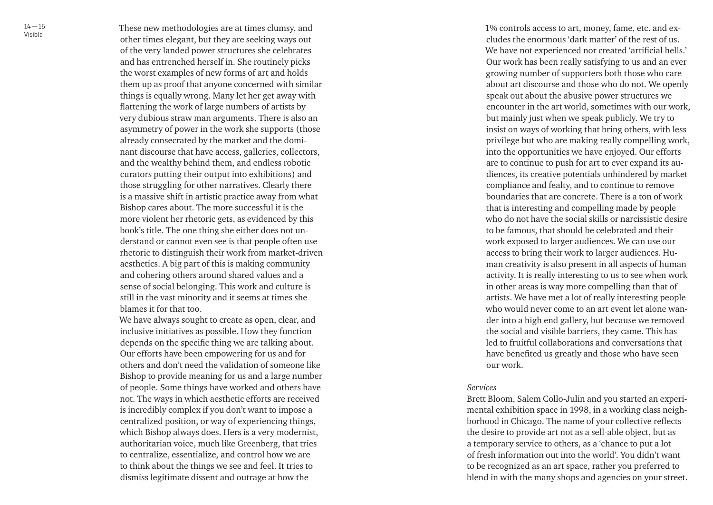These new methodologies are at times clumsy, and other times elegant, but they are seeking ways out of the very landed power structures she celebrates and has entrenched herself in. She routinely picks the worst examples of new forms of art and holds them up as proof that anyone concerned with similar things is equally wrong. Many let her get away with flattening the work of large numbers of artists by very dubious straw man arguments. There is also an asymmetry of power in the work she supports (those already consecrated by the market and the domi nant discourse that have access, galleries, collectors, and the wealthy behind them, and endless robotic curators putting their output into exhibitions) and those struggling for other narratives. Clearly there is a massive shift in artistic practice away from what Bishop cares about. The more successful it is the more violent her rhetoric gets, as evidenced by this book's title. The one thing she either does not un derstand or cannot even see is that people often use rhetoric to distinguish their work from market-driven aesthetics. A big part of this is making community and cohering others around shared values and a sense of social belonging. This work and culture is still in the vast minority and it seems at times she blames it for that too.

We have always sought to create as open, clear, and inclusive initiatives as possible. How they function depends on the specific thing we are talking about. Our efforts have been empowering for us and for others and don't need the validation of someone like Bishop to provide meaning for us and a large number of people. Some things have worked and others have not. The ways in which aesthetic efforts are received is incredibly complex if you don't want to impose a centralized position, or way of experiencing things, which Bishop always does. Hers is a very modernist, authoritarian voice, much like Greenberg, that tries to centralize, essentialize, and control how we are to think about the things we see and feel. It tries to dismiss legitimate dissent and outrage at how the

1% controls access to art, money, fame, etc. and ex cludes the enormous 'dark matter' of the rest of us. We have not experienced nor created 'artificial hells.' Our work has been really satisfying to us and an ever growing number of supporters both those who care about art discourse and those who do not. We openly speak out about the abusive power structures we encounter in the art world, sometimes with our work, but mainly just when we speak publicly. We try to insist on ways of working that bring others, with less privilege but who are making really compelling work, into the opportunities we have enjoyed. Our efforts are to continue to push for art to ever expand its au diences, its creative potentials unhindered by market compliance and fealty, and to continue to remove boundaries that are concrete. There is a ton of work that is interesting and compelling made by people who do not have the social skills or narcissistic desire to be famous, that should be celebrated and their work exposed to larger audiences. We can use our access to bring their work to larger audiences. Hu man creativity is also present in all aspects of human activity. It is really interesting to us to see when work in other areas is way more compelling than that of artists. We have met a lot of really interesting people who would never come to an art event let alone wan der into a high end gallery, but because we removed the social and visible barriers, they came. This has led to fruitful collaborations and conversations that have benefited us greatly and those who have seen our work.

#### *Services*

Brett Bloom, Salem Collo-Julin and you started an experi mental exhibition space in 1998, in a working class neigh borhood in Chicago. The name of your collective reflects the desire to provide art not as a sell-able object, but as a temporary service to others, as a 'chance to put a lot of fresh information out into the world'. You didn't want to be recognized as an art space, rather you preferred to blend in with the many shops and agencies on your street.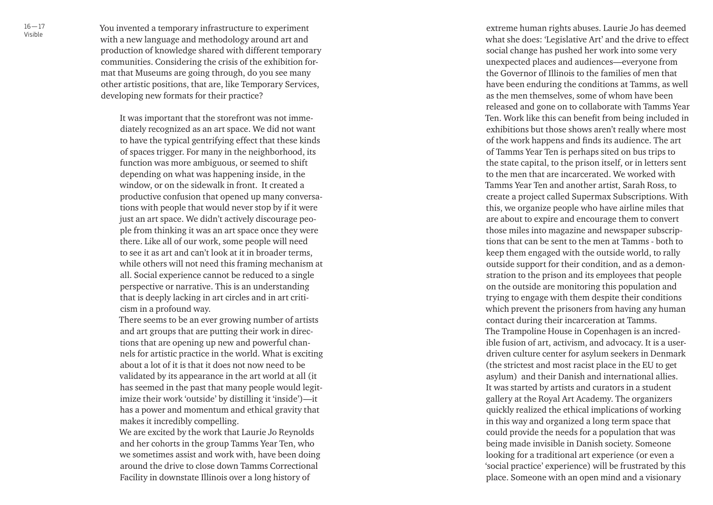You invented a temporary infrastructure to experiment with a new language and methodology around art and production of knowledge shared with different temporary communities. Considering the crisis of the exhibition for mat that Museums are going through, do you see many other artistic positions, that are, like Temporary Services, developing new formats for their practice?

It was important that the storefront was not imme diately recognized as an art space. We did not want to have the typical gentrifying effect that these kinds of spaces trigger. For many in the neighborhood, its function was more ambiguous, or seemed to shift depending on what was happening inside, in the window, or on the sidewalk in front. It created a productive confusion that opened up many conversa tions with people that would never stop by if it were just an art space. We didn't actively discourage peo ple from thinking it was an art space once they were there. Like all of our work, some people will need to see it as art and can't look at it in broader terms, while others will not need this framing mechanism at all. Social experience cannot be reduced to a single perspective or narrative. This is an understanding that is deeply lacking in art circles and in art criti cism in a profound way.

There seems to be an ever growing number of artists and art groups that are putting their work in direc tions that are opening up new and powerful chan nels for artistic practice in the world. What is exciting about a lot of it is that it does not now need to be validated by its appearance in the art world at all (it has seemed in the past that many people would legit imize their work 'outside' by distilling it 'inside') —it has a power and momentum and ethical gravity that makes it incredibly compelling.

We are excited by the work that Laurie Jo Reynolds and her cohorts in the group Tamms Year Ten, who we sometimes assist and work with, have been doing around the drive to close down Tamms Correctional Facility in downstate Illinois over a long history of

extreme human rights abuses. Laurie Jo has deemed what she does: 'Legislative Art' and the drive to effect social change has pushed her work into some very unexpected places and audiences —everyone from the Governor of Illinois to the families of men that have been enduring the conditions at Tamms, as well as the men themselves, some of whom have been released and gone on to collaborate with Tamms Year Ten. Work like this can benefit from being included in exhibitions but those shows aren't really where most of the work happens and finds its audience. The art of Tamms Year Ten is perhaps sited on bus trips to the state capital, to the prison itself, or in letters sent to the men that are incarcerated. We worked with Tamms Year Ten and another artist, Sarah Ross, to create a project called Supermax Subscriptions. With this, we organize people who have airline miles that are about to expire and encourage them to convert those miles into magazine and newspaper subscrip tions that can be sent to the men at Tamms - both to keep them engaged with the outside world, to rally outside support for their condition, and as a demon stration to the prison and its employees that people on the outside are monitoring this population and trying to engage with them despite their conditions which prevent the prisoners from having any human contact during their incarceration at Tamms. The Trampoline House in Copenhagen is an incred ible fusion of art, activism, and advocacy. It is a userdriven culture center for asylum seekers in Denmark (the strictest and most racist place in the EU to get asylum) and their Danish and international allies. It was started by artists and curators in a student gallery at the Royal Art Academy. The organizers quickly realized the ethical implications of working in this way and organized a long term space that could provide the needs for a population that was being made invisible in Danish society. Someone looking for a traditional art experience (or even a 'social practice' experience) will be frustrated by this place. Someone with an open mind and a visionary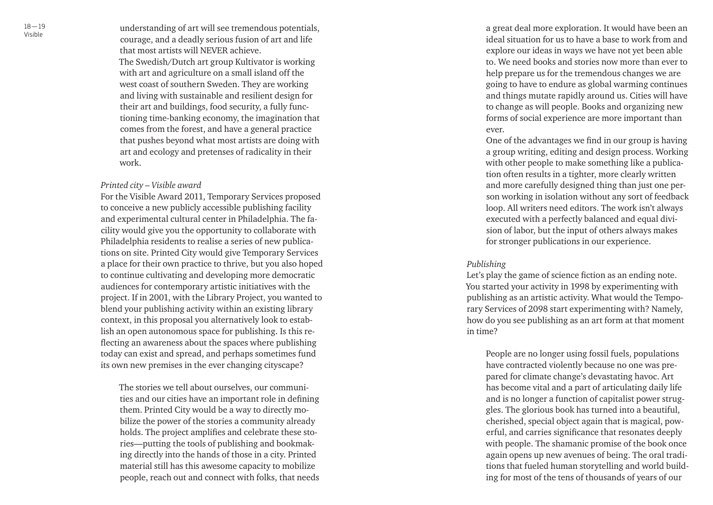understanding of art will see tremendous potentials, courage, and a deadly serious fusion of art and life that most artists will NEVER achieve. The Swedish/Dutch art group Kultivator is working with art and agriculture on a small island off the west coast of southern Sweden. They are working and living with sustainable and resilient design for their art and buildings, food security, a fully func tioning time-banking economy, the imagination that comes from the forest, and have a general practice that pushes beyond what most artists are doing with art and ecology and pretenses of radicality in their work.

#### *Printed city – Visible award*

For the Visible Award 2011, Temporary Services proposed to conceive a new publicly accessible publishing facility and experimental cultural center in Philadelphia. The fa cility would give you the opportunity to collaborate with Philadelphia residents to realise a series of new publica tions on site. Printed City would give Temporary Services a place for their own practice to thrive, but you also hoped to continue cultivating and developing more democratic audiences for contemporary artistic initiatives with the project. If in 2001, with the Library Project, you wanted to blend your publishing activity within an existing library context, in this proposal you alternatively look to estab lish an open autonomous space for publishing. Is this re flecting an awareness about the spaces where publishing today can exist and spread, and perhaps sometimes fund its own new premises in the ever changing cityscape?

The stories we tell about ourselves, our communi ties and our cities have an important role in defining them. Printed City would be a way to directly mo bilize the power of the stories a community already holds. The project amplifies and celebrate these sto ries —putting the tools of publishing and bookmaking directly into the hands of those in a city. Printed material still has this awesome capacity to mobilize people, reach out and connect with folks, that needs a great deal more exploration. It would have been an ideal situation for us to have a base to work from and explore our ideas in ways we have not yet been able to. We need books and stories now more than ever to help prepare us for the tremendous changes we are going to have to endure as global warming continues and things mutate rapidly around us. Cities will have to change as will people. Books and organizing new forms of social experience are more important than ever.

One of the advantages we find in our group is having a group writing, editing and design process. Working with other people to make something like a publica tion often results in a tighter, more clearly written and more carefully designed thing than just one per son working in isolation without any sort of feedback loop. All writers need editors. The work isn't always executed with a perfectly balanced and equal divi sion of labor, but the input of others always makes for stronger publications in our experience.

#### *Publishing*

Let's play the game of science fiction as an ending note. You started your activity in 1998 by experimenting with publishing as an artistic activity. What would the Tempo rary Services of 2098 start experimenting with? Namely, how do you see publishing as an art form at that moment in time?

People are no longer using fossil fuels, populations have contracted violently because no one was pre pared for climate change's devastating havoc. Art has become vital and a part of articulating daily life and is no longer a function of capitalist power strug gles. The glorious book has turned into a beautiful, cherished, special object again that is magical, pow erful, and carries significance that resonates deeply with people. The shamanic promise of the book once again opens up new avenues of being. The oral tradi tions that fueled human storytelling and world build ing for most of the tens of thousands of years of our